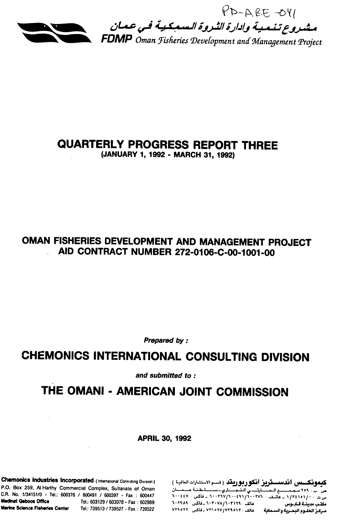

# QUARTERLY PROGRESS REPORT THREE

**(JANUARY 1, 1992 -** MARCH **31, 1992)** 

## **OMAN FISHERIES DEVELOPMENT AND MANAGEMENT PROJECT AID CONTRACT NUMBER 272-0106-C-00-1001-00**

Prepared **by** *:* 

## **CHEMONICS INTERNATIONAL CONSULTING DIVISION**

and submitted **to:** 

## THE **OMANI - AMERICAN JOINT COMMISSION**

APRIL **30, 1992** 

Chemonics Industries Incorporated (Inrteenational Coniling Division) **(Ldl - VI f..-J) 4.-j..3.j. l .J.,, J--.** I **U <... <** P.O. Box **259,** Al Harthy Commercial Complex, Sultanate of Oman , L L *I.....* **\_L ,L.\_.,\_,"I** *t* **y\*** : *,* CR. No. 1/34151/0 - Tel.: **600376 /** 600491 **/ 600397 -** Fax 600447 **"..Itv ,. rv/i** *.* **-TV***- ..***A** - **.. /T[N%/.**

مكتب مدينية قباديوس معاهد المعلمات المعامل المحمد المحمد المحمد المحمد المحمد المحمد المحمد المحمد المحمد المح<br>مركز العليوم البحثرية والسنمعية محمد المحمد المحمد المحمد المحمد المحمد المحمد المحمد المحمد المحمد المحمد ال<br>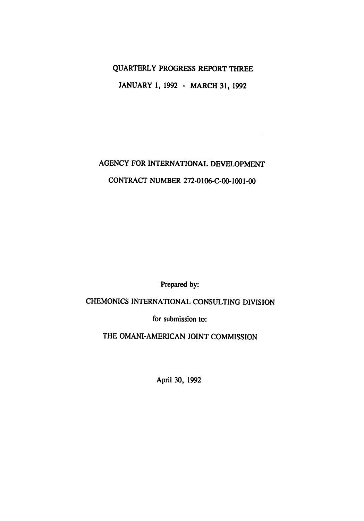### QUARTERLY PROGRESS REPORT THREE

**JANUARY 1, 1992 -** MARCH **31, 1992** 

## **AGENCY** FOR **INTERNATIONAL DEVELOPMENT**  CONTRACT **NUMBER** 272-0106-C-00-1001-00

Prepared by:

### CHEMONICS **INTERNATIONAL CONSULTING DIVISION**

for submission to:

THE **OMANI-AMERICAN JOINT COMMISSION** 

April **30, 1992**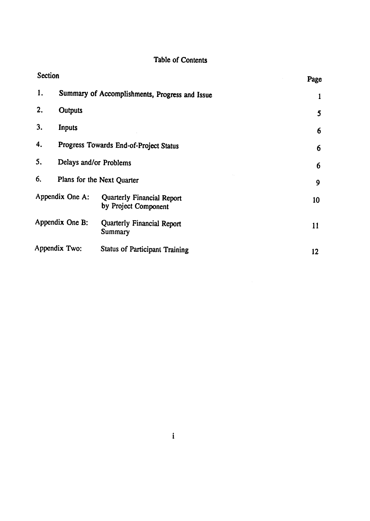## Table of Contents

| Section |                        |                                                    | Page |
|---------|------------------------|----------------------------------------------------|------|
| 1.      |                        | Summary of Accomplishments, Progress and Issue     | 1    |
| 2.      | Outputs                |                                                    | 5    |
| 3.      | Inputs                 |                                                    | 6    |
| 4.      |                        | Progress Towards End-of-Project Status             | 6    |
| 5.      | Delays and/or Problems |                                                    | 6    |
| 6.      |                        | Plans for the Next Quarter                         | 9    |
|         | Appendix One A:        | Quarterly Financial Report<br>by Project Component | 10   |
|         | Appendix One B:        | Quarterly Financial Report<br>Summary              | 11   |
|         | Appendix Two:          | <b>Status of Participant Training</b>              | 12   |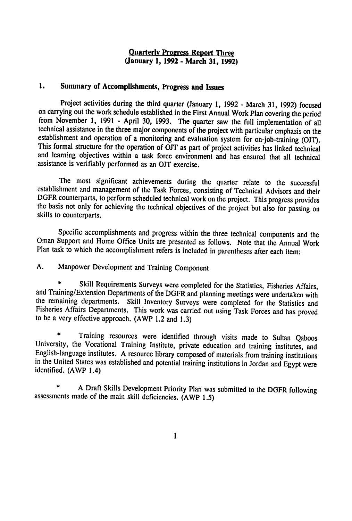### **Ouarterlv Progress Report Three (January 1, 1992 - March 31, 1992)**

### **1. Summary of Accomplishments, Progress and Issues**

Project activities during the third quarter (January **1, 1992 -** March **31, 1992)** focused from November 1, 1991 **-** April 30, 1993. The quarter saw the full implementation of all technical assistance in the three major components of the project with particular emphasis on the establishment and operation of a monitoring and evaluation system for on-job-training (OJT). This formal structure for the operation of OJT as part of project activities has linked technical and learning objectives within a task force environment and has ensured that all technical assistance is verifiably performed as an **OJT** exercise.

The most significant achievements during the quarter relate to the successful establishment and management of the Task Forces, consisting of Technical Advisors and their DGFR counterparts, to perform scheduled technical work on the project. This progress provides the basis not only for achieving the technical objectives of the project but also for passing on skills to counterparts.

Specific accomplishments and progress within the three technical components and the Oman Support and Home Office Units are presented as follows. Note that the Annual Work Plan task to which the accomplishment refers is included in parentheses after each item:

**A.** Manpower Development and Training Component

Skill Requirements Surveys were completed for the Statistics, Fisheries Affairs, and Training/Extension Departments of the DGFR and planning meetings were undertaken with the remaining departments. Skill Inventory Surveys were completed for the Statistics and Fisheries Affairs Departments. This work was carried out using Task Forces and has proved to be a very effective approach. (AWP 1.2 and **1.3)** 

**\*** Training resources were identified through visits made to Sultan Qaboos University, the Vocational Training Institute, private education and training institutes, and English-language institutes. A resource library composed of materials from training institutions in the United States was established and potential training institutions in Jordan and Egypt were identified. (AWP 1.4)

A Draft Skills Development Priority Plan was submitted to the DGFR following assessments made of the main skill deficiencies. (AWP 1.5)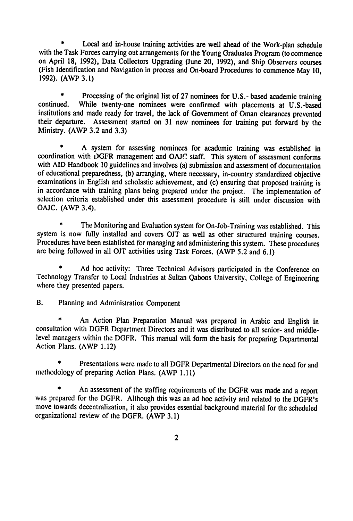Local and in-house training activities are well ahead of the Work-plan schedule with the Task Forces carrying out arrangements for the Young Graduates Program (to commence on April **18, 1992),** Data Collectors Upgrading (June 20, **1992),** and Ship Observers courses (Fish Identification and Navigation in process and On-board Procedures to commence May **10, 1992).** (AWP **3.1)** 

**\*** Processing of the original list of **27** nominees for **U.S.-** based academic training continued. While twenty-one nominees were confirmed with placements at U.S.-based institutions and made ready for travel, the lack of Government of Oman clearances prevented their departure. Assessment started on 31 new nominees for training put forward by the Ministry. (AWP **3.2** and **3.3)** 

**\* A** system for assessing nominees for academic training was established in coordination with DGFR management and **OAJC** staff. This system of assessment conforms with AID Handbook 10 guidelines and involves (a) submission and assessment of documentation of educational preparedness, **(b)** arranging, where necessary, in-country standardized objective examinations in English and scholastic achievement, and (c) ensuring that proposed training is in accordance with training plans being prepared under the project. The implementation of selection criteria established under this assessment procedure is still under discussion with **OAJC.** (AWP 3.4).

The Monitoring and Evaluation system for On-Job-Training was established. This system is now fully installed and covers **OJT** as well as other structured training courses. Procedures have been established for managing and administering this system. These procedures are being followed in all **OJT** activities using Task Forces. **(AWP** *5.2* and **6.1)** 

**\* Ad** hoc activity: Three Technical Advisors participated in the Conference on Technology Transfer to Local Industries at Sultan Qaboos University, College of Engineering where they presented papers.

B. Planning and Administration Component

**\*** An Action Plan Preparation Manual was prepared in Arabic and English in consultation with DGFR Department Directors and it was distributed to all senior- and middlelevel managers within the DGFR. This manual will form the basis for preparing Departmental Action Plans. (AWP 1.12)

Presentations were made to all DGFR Departmental Directors on the need for and methodology of preparing Action Plans. (AWP **1.11)** 

**\*** An assessment of the staffing requirements of the DGFR was made and a report was prepared for the DGFR. Although this was an ad hoc activity and related to the DGFR's move towards decentralization, it also provides essential background material for the scheduled organizational review of the DGFR. (AWP **3.1)**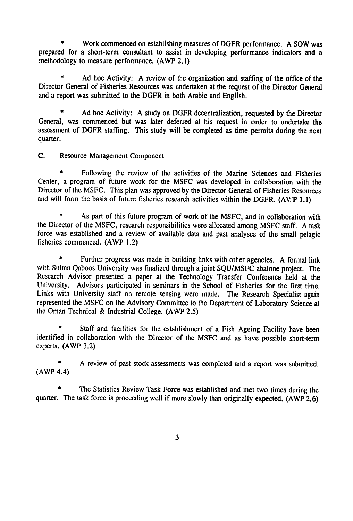Work commenced on establishing measures of DGFR performance. A SOW was prepared for a short-term consultant to assist in developing performance indicators and a methodology to measure performance. (AWP 2.1)

**\*** Ad hoc Activity: **A** review of the organization and staffing of the office of the Director General of Fisheries Resources was undertaken at the request of the Director General and a report was submitted to the DGFR in both Arabic and English.

**\* Ad** hoc Activity: A study on DGFR decentralization, requested **by** the Director General, was commenced but was later deferred at his request in order to undertake the assessment of DGFR staffing. This study will be completed as time permits during the next quarter.

**C.** Resource Management Component

**\*** Following the review of the activities of the Marine Sciences and Fisheries Center, a program of future work for the MSFC was developed in collaboration with the Director of the MSFC. This plan was approved by the Director General of Fisheries Resources and will form the basis of future fisheries research activities within the DGFR. (AWP 1.1)

As part of this future program of work of the MSFC, and in collaboration with the Director of the MSFC, research responsibilities were allocated among MSFC staff. A task force was established and a review of available data and past analyses of the small pelagic fisheries commenced. (AWP 1.2)

Further progress was made in building links with other agencies. A formal link with Sultan Qaboos University was finalized through a joint SQU/MSFC abalone project. The Research Advisor presented a paper at the Technology Transfer Conference held at the University. Advisors participated in seminars in the School of Fisheries for the first time. Links with University staff on remote sensing were made. The Research Specialist again represented the MSFC on the Advisory Committee to the Department of Laboratory Science at the Oman Technical & Industrial College. (AWP 2.5)

Staff and facilities for the establishment of a Fish Ageing Facility have been identified in collaboration with the Director of the MSFC and as have possible short-term experts. (AWP 3.2)

A review of past stock assessments was completed and a report was submitted. (AWP 4.4)

The Statistics Review Task Force was established and met two times during the quarter. The task force is proceeding well if more slowly than originally expected. (AWP 2.6)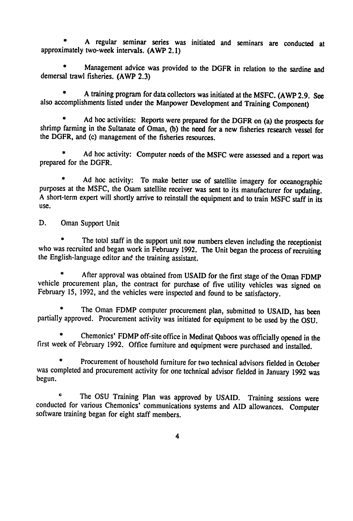**\*** A regular seminar series was initiated and seminars are conducted at approximately two-week intervals. (AWP 2.1)

**\*** Management advice was provided to the DGFR in relation to the sardine and demersal trawl fisheries. (AWP **2.3)** 

**\* A** training program for data collectors was initiated at the **MSFC.** (AWP **2.9.** See also accomplishments listed under the Manpower Development and Training Component)

**\* Ad** hoc activities: Reports were prepared for the DGFR on (a) the prospects for shrimp farming in the Sultanate of Oman, **(b)** the need for a new fisheries research vessel for the DGFR, and (c) management of the fisheries resources.

**\* Ad** hoc activity: Computer needs of the **MSFC** were assessed and a report was prepared for the DGFR.

**\* Ad** hoc activity: To make better use of satellite imagery for oceanographic purposes at the **MSFC,** the Osam satellite receiver was sent to its manufacturer for updating. A short-term expert will shortly arrive to reinstall the equipment and to train MSFC staff in its use.

D. Oman Support Unit

The total staff in the support unit now numbers eleven including the receptionist who was recruited and began work in February 1992. The Unit began the process of recruiting the English-language editor and the training assistant.

After approval was obtained from USAID for the first stage of the Oman FDMP vehicle procurement plan, the contract for purchase of five utility vehicles was signed on February 15, 1992, and the vehicles were inspected and found to be satisfactory.

The Oman FDMP computer procurement plan, submitted to USAID, has been partially approved. Procurement activity was initiated for equipment to be used by the OSU.

Chemonics' FDMP off-site office in Medinat Qaboos was officially opened in the first week of February 1992. Office furniture and equipment were purchased and installed.

Procurement of household furniture for two technical advisors fielded in October was completed and procurement activity for one technical advisor fielded in January 1992 was begun.

**\*** The **OSU** Training Plan was approved **by USAID.** Training sessions were conducted for various Chemonics' communications systems and **AID** allowances. Computer software training began for eight staff members.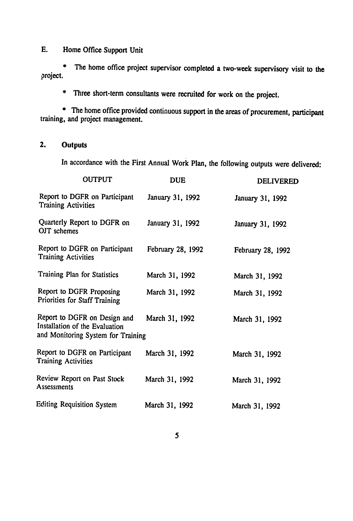### **E.**  Home Office Support Unit

The home office project supervisor completed a two-week supervisory visit to the project.

**\*** Three short-term consultants were recruited for work on the project.

**\* The** home office provided continuous support in the areas of procurement, participant training, and project management.

### **2. Outputs**

In accordance with the First Annual Work Plan, the following outputs were delivered:

| <b>OUTPUT</b>                                                                                        | <b>DUE</b>        | <b>DELIVERED</b>  |
|------------------------------------------------------------------------------------------------------|-------------------|-------------------|
| Report to DGFR on Participant<br><b>Training Activities</b>                                          | January 31, 1992  | January 31, 1992  |
| Quarterly Report to DGFR on<br>OJT schemes                                                           | January 31, 1992  | January 31, 1992  |
| Report to DGFR on Participant<br><b>Training Activities</b>                                          | February 28, 1992 | February 28, 1992 |
| Training Plan for Statistics                                                                         | March 31, 1992    | March 31, 1992    |
| Report to DGFR Proposing<br>Priorities for Staff Training                                            | March 31, 1992    | March 31, 1992    |
| Report to DGFR on Design and<br>Installation of the Evaluation<br>and Monitoring System for Training | March 31, 1992    | March 31, 1992    |
| Report to DGFR on Participant<br><b>Training Activities</b>                                          | March 31, 1992    | March 31, 1992    |
| Review Report on Past Stock<br>Assessments                                                           | March 31, 1992    | March 31, 1992    |
| Editing Requisition System                                                                           | March 31, 1992    | March 31, 1992    |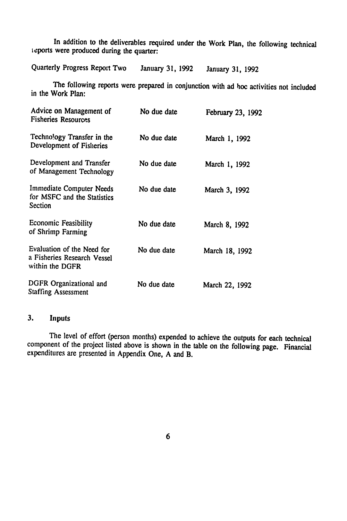In addition to the deliverables required under the Work Plan, the following technical reports were produced during the quarter:

Quarterly Progress Report Two January **31, 1992** January **31,** <sup>1992</sup>

The following reports were prepared in conjunction with ad **hoc** activities not included in the Work Plan:

| Advice on Management of<br><b>Fisheries Resources</b>                        | No due date | February 23, 1992 |
|------------------------------------------------------------------------------|-------------|-------------------|
| Technology Transfer in the<br>Development of Fisheries                       | No due date | March 1, 1992     |
| Development and Transfer<br>of Management Technology                         | No due date | March 1, 1992     |
| Immediate Computer Needs<br>for MSFC and the Statistics<br>Section           | No due date | March 3, 1992     |
| Economic Feasibility<br>of Shrimp Farming                                    | No due date | March 8, 1992     |
| Evaluation of the Need for<br>a Fisheries Research Vessel<br>within the DGFR | No due date | March 18, 1992    |
| DGFR Organizational and<br><b>Staffing Assessment</b>                        | No due date | March 22, 1992    |

#### 3. Inputs

The level of effort (person months) expended to achieve the outputs for each technical component of the project listed above is shown in the table on the following page. Financial expenditures are presented in Appendix One, A and B.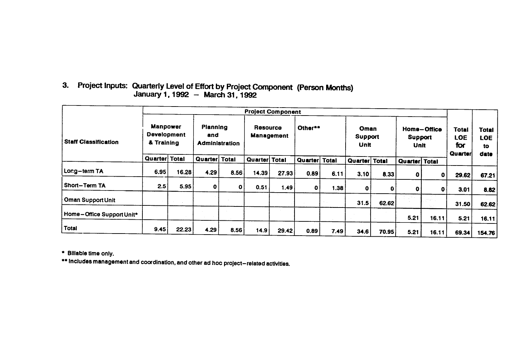## **3.** Project Inputs: Quarterly Level of Effort **by** Project Component (Person Months) January **1,1992 -** March **31, 1992**

|                             |                                                     |              |               |                                   | <b>Project Component</b> |                                   |         |                         |               |                                |               |                                       |                                  |        |
|-----------------------------|-----------------------------------------------------|--------------|---------------|-----------------------------------|--------------------------|-----------------------------------|---------|-------------------------|---------------|--------------------------------|---------------|---------------------------------------|----------------------------------|--------|
| <b>Staff Classification</b> | <b>Manpower</b><br><b>Development</b><br>& Training |              | and           | Planning<br><b>Administration</b> |                          | Resource<br>Other**<br>Management |         | Oman<br>Support<br>Unit |               | Home-Office<br>Support<br>Unit |               | <b>Total</b><br>LOE<br>for<br>Quarter | <b>Total</b><br><b>LOE</b><br>to |        |
|                             | Quarter                                             | <b>Total</b> | Quarter Total |                                   | Quarter Total            |                                   | Quarter | Total                   | Quarter Total |                                | Quarter Total |                                       |                                  | date   |
| Long-term TA                | 6.95                                                | 16.28        | 4.29          | 8.56                              | 14.39                    | 27.93                             | 0.89    | 6.11                    | 3.10          | 8.33                           | O             | $\mathbf 0$                           | 29.62                            | 67.21  |
| Short-Term TA               | 2.5                                                 | 5.95         | 0             | $\mathbf 0$                       | 0.51                     | 1.49                              | 0       | 1.38                    | 0             | 0                              | 0             | 0                                     | 3.01                             | 8.82   |
| Oman Support Unit           |                                                     |              |               |                                   |                          |                                   |         |                         | 31.5          | 62.62                          |               |                                       | 31.50                            | 62.62  |
| Home-Office Support Unit*   |                                                     |              |               |                                   |                          |                                   |         |                         |               |                                | 5.21          | 16.11                                 | 5.21                             | 16.11  |
| <b>Total</b>                | 9.45                                                | 22.23        | 4.29          | 8.56                              | 14.9                     | 29.42                             | 0.89    | 7.49                    | 34.6          | 70.95                          | 5.21          | 16.11                                 | 69.34                            | 154.76 |

**\*** Billable time only.

**\*** Includes management and coordination, and other ad hoc project-related **activities.**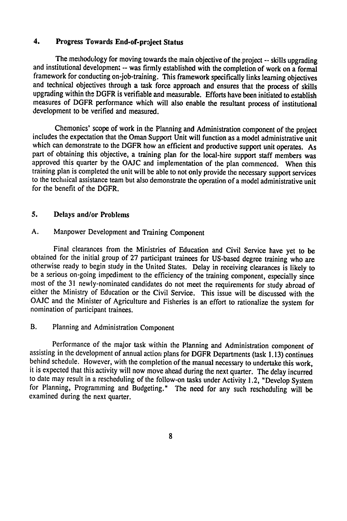### 4. Progress Towards End-of-project Status

The methodology for moving towards the main objective of the project -- skills upgrading and institutional development -- was firmly established with the completion of work on a formal framework for conducting on-job-train and technical objectives through a task force approach and ensures that the process of skills upgrading within the DGFR is verifiable and measurable. Efforts have been initiated to establish measures of DGFR performance which will also enable the resultant process of institutional development to be verified and measured.

Chemonics' scope of work in the Planning and Administration component of the project includes the expectation that the Oman Support Unit will function as a model administrative unit which can demonstrate to the DGFR how an efficient and productive support unit operates. As part of obtaining this objective, a training plan for the local-hire support staff members was approved this quarter **by** the **OAJC** and implementation of the plan commenced. When this training plan is completed the unit will be able to not only provide the necessary support services to the technical assistance team but also demonstrate the operation of a model administrative unit for the benefit of the DGFR.

### **5.** Delays and/or Problems

#### **A.** Manpower Development and Training Component

Final clearances from the Ministries of Education and Civil Service have yet to be obtained for the initial group of **27** participant trainees for US-based degree training who are otherwise ready to begin study in the United States. Delay in receiving clearances is likely to be a serious on-going impediment to the efficiency of the training component, especially since most of the **31** newly-nominated candidates do not meet the requirements for study abroad of either the Ministry of Education or the Civil Service. This issue will be discussed with the **OAJC** and the Minister of Agriculture and Fisheries is an effort to rationalize the system for nomination of participant trainees.

### B. Planning and Administration Component

Performance of the major task within the Planning and Administration component of assisting in the development of annual action plans for DGFR Departments (task **1.13)** continues behind schedule. However, with the completion of the manual necessary to undertake this work, it is expected that this activity will now move ahead during the next quarter. The delay incurred to date may result in a rescheduling of the follow-on tasks under Activity 1.2, "Develop System for Planning, Programming and Budgeting." The need for any such rescheduling will be examined during the next quarter.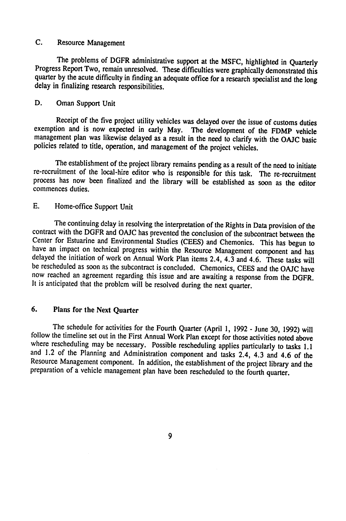### **C.** Resource Management

The problems of DGFR administrative support at the **MSFC,** highlighted in Quarterly Progress Report Two, remain unresolved. These difficulties were graphically demonstrated this quarter **by** the acute difficulty in finding an adequate office for a research specialist and the long delay in finalizing research responsibilities.

#### **D.** Oman Support Unit

Receipt of the five project utility vehicles was delayed over the issue of customs duties exemption and is now expected in early May. The development of the FDMP vehicle management plan was likewise delayed as a result in the need to clarify with the **OAJC** basic policies related to title, operation, and management of the project vehicles.

The establishment of the project library remains pending as a result of the need to initiate re-recruitment of the local-hire editor who is responsible for this task. The re-recruitment process has now been finalized and the library will be established as soon as the editor commences duties.

### **E.** Home-office Support Unit

The continuing delay in resolving the interpretation of the Rights in Data provision of the contract with the DGFR and **OAJC** has prevented the conclusion of the subcontract between the Center for Estuarine and Environmental Studies **(CEES)** and Chemonics. This has begun to have an impact on technical progress within the Resource Management component and has delayed the initiation of work on Annual Work Plan items 2.4, 4.3 and 4.6. These tasks will be rescheduled as soon as the subcontract is concluded. Chemonics, **CEES** and the **OAJC** have now reached an agreement regarding this issue and are awaiting a response from the DGFR. It is anticipated that the problcm will be resolved during the next quarter.

### **6.** Plans for the Next Quarter

The schedule for activities for the Fourth Quarter (April 1, 1992 - June 30, 1992) will follow the timeline set out in the First Annual Work Plan except for those activities noted above where rescheduling may be necessary. and 1.2 of the Planning and Administration component and tasks 2.4, 4.3 and 4.6 of the Resource Management component. In addition, the establishment of the project library and the preparation of a vehicle management plan have been rescheduled to the fourth quarter.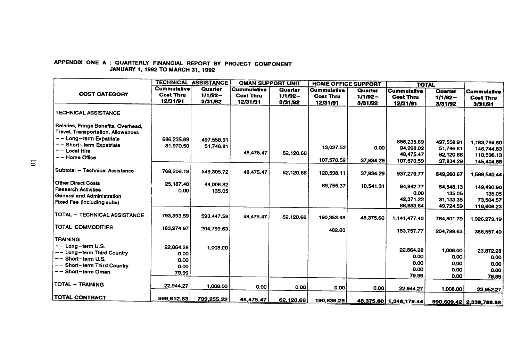#### **APPENDIX ONE A :** QUARTERLY **FINANCIAL** REPORT BY **PROJECT COMPONENT JANUARY 1, 1992** TO MARCH **31, 1992**

 $\sim$ 

|                                                                            | <b>TECHNICAL ASSISTANCE</b> |            | <b>OMAN SUPPORT UNIT</b> |            | <b>HOME OFFICE SUPPORT</b> |            | <b>TOTAL</b>           |                        |                         |
|----------------------------------------------------------------------------|-----------------------------|------------|--------------------------|------------|----------------------------|------------|------------------------|------------------------|-------------------------|
|                                                                            | <b>Cummulative</b>          | Quarter    | <b>Cummulative</b>       | Quarter    | Cummulative                | Quarter    | <b>Cummulatve</b>      | Quarter                | Cummulative             |
| <b>COST CATEGORY</b>                                                       | <b>Cost Thru</b>            | $1/1/92 -$ | <b>Cost Thru</b>         | $1/1/92 -$ | <b>Cost Thru</b>           | $1/1/92 -$ | <b>Cost Thru</b>       | $1/1/92 -$             | <b>Cost Thru</b>        |
|                                                                            | 12/31/91                    | 3/31/92    | 12/31/91                 | 3/31/92    | 12/31/91                   | 3/31/92    | 12/31/91               | 3/31/92                | 3/31/91                 |
| <b>TECHNICAL ASSISTANCE</b>                                                |                             |            |                          |            |                            |            |                        |                        |                         |
| Salaries, Fringe Benefits, Overhead,<br>Travel, Transportation, Allowances |                             |            |                          |            |                            |            |                        |                        |                         |
| -- Long-term Expatriate                                                    | 686,235.69                  | 497,558.91 |                          |            |                            |            | 686,235.69             |                        |                         |
| -- Short-term Expatriate                                                   | 81.970.50                   | 51,746.81  |                          |            | 13.027.52                  | 0.00       | 94,998.02              | 497,558.91             | 1,183,794.60            |
| $--$ Local Hire                                                            |                             |            | 48,475.47                | 62,120.66  |                            |            | 48,475.47              | 51,746.81<br>62,120.66 | 146,744.83              |
| -- Home Office                                                             |                             |            |                          |            | 107,570.59                 | 37,834.29  | 107,570.59             |                        | 110,596.13              |
|                                                                            |                             |            |                          |            |                            |            |                        | 37,834.29              | 145,404.88              |
| Subtotal - Technical Assistance                                            | 768,206.19                  | 549,305.72 | 48,475.47                | 62.120.66  | 120,598.11                 | 37,834.29  | 937,279.77             | 649,260.67             | 1,586,540.44            |
| <b>Other Direct Costs</b>                                                  | 25,187.40                   | 44,006.82  |                          |            | 69,755.37                  | 10,541.31  |                        |                        |                         |
| <b>Research Activities</b>                                                 | 0.00                        | 135.05     |                          |            |                            |            | 94,942.77              | 54,548.13              | 149,490.90              |
| General and Administration                                                 |                             |            |                          |            |                            |            | 0.00<br>42,371.22      | 135.05                 | 135.05                  |
| Fixed Fee (including subs)                                                 |                             |            |                          |            |                            |            |                        | 31,133.35              | 73,504.57               |
|                                                                            |                             |            |                          |            |                            |            | 66,883.64              | 49,724.59              | 116,608.23              |
| TOTAL - TECHNICAL ASSISTANCE                                               | 793,393.59                  | 593,447.59 | 48,475.47                | 62,120.66  | 190,353.48                 | 48,375.60  | 1,141,477.40           | 784,801.79             | 1,926,279.19            |
| TOTAL COMMODITIES                                                          | 183,274.97                  | 204,799.63 |                          |            | 482.80                     |            | 183,757.77             | 204,799.63             | 388,557.40              |
| <b>TRAINING</b>                                                            |                             |            |                          |            |                            |            |                        |                        |                         |
| $-$ - Long-term U.S.                                                       | 22.864.28                   | 1,008.00   |                          |            |                            |            |                        |                        |                         |
| -- Long-term Third Country                                                 | 0.00                        |            |                          |            |                            |            | 22,864.28              | 1,008.00               | 23,872.28               |
| $-$ - Short-term U.S.                                                      | 0.00                        |            |                          |            |                            |            | 0.00                   | 0.00                   | 0.00                    |
| -- Short-term Third Country                                                | 0.00                        |            |                          |            |                            |            | 0.00                   | 0.00                   | 0.00                    |
| -- Short-term Oman                                                         | 79.99                       |            |                          |            |                            |            | 0.00                   | 0.00                   | 0.00                    |
|                                                                            |                             |            |                          |            |                            |            | 79.99                  | 0.00                   | 79.99                   |
| <b>TOTAL - TRAINING</b>                                                    | 22,944.27                   | 1,008.00   | 0.00                     | 0.00       | 0.00                       | 0.00       | 22,944.27              | 1,008.00               | 23,952.27               |
| <b>TOTAL CONTRACT</b>                                                      | 999,612.83                  | 799,255.22 | 48,475.47                | 62,120.66  | 190,836.28                 |            | 48,375.60 1,348,179.44 |                        | 990,609.42 2.338.788.86 |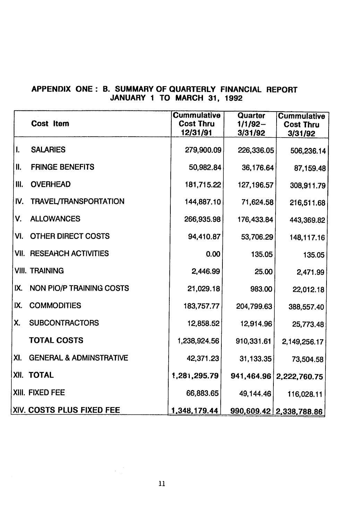### **APPENDIX ONE:** B. SUMMARY OF QUARTERLY **FINANCIAL** REPORT **JANUARY 1** TO MARCH **31, 1992**

|      | <b>Cost Item</b>                   | <b>Cummulative</b><br><b>Cost Thru</b><br>12/31/91 | Quarter<br>$1/1/92 -$<br>3/31/92 | <b>Cummulative</b><br><b>Cost Thru</b><br>3/31/92 |
|------|------------------------------------|----------------------------------------------------|----------------------------------|---------------------------------------------------|
| I.   | <b>SALARIES</b>                    | 279,900.09                                         | 226,336.05                       | 506,236.14                                        |
| II.  | <b>FRINGE BENEFITS</b>             | 50,982.84                                          | 36,176.64                        | 87,159.48                                         |
| III. | <b>OVERHEAD</b>                    | 181,715.22                                         | 127,196.57                       | 308,911.79                                        |
| IV.  | <b>TRAVEL/TRANSPORTATION</b>       | 144,887.10                                         | 71,624.58                        | 216,511.68                                        |
| V.   | <b>ALLOWANCES</b>                  | 266,935.98                                         | 176,433.84                       | 443,369.82                                        |
| VI.  | <b>OTHER DIRECT COSTS</b>          | 94,410.87                                          | 53,706.29                        | 148,117.16                                        |
|      | <b>VII. RESEARCH ACTIVITIES</b>    | 0.00                                               | 135.05                           | 135.05                                            |
|      | <b>VIII. TRAINING</b>              | 2,446.99                                           | 25.00                            | 2,471.99                                          |
| IX.  | <b>NON PIO/P TRAINING COSTS</b>    | 21,029.18                                          | 983.00                           | 22,012.18                                         |
| IX.  | <b>COMMODITIES</b>                 | 183,757.77                                         | 204,799.63                       | 388,557.40                                        |
| Х.   | <b>SUBCONTRACTORS</b>              | 12,858.52                                          | 12,914.96                        | 25,773.48                                         |
|      | <b>TOTAL COSTS</b>                 | 1,238,924.56                                       | 910,331.61                       | 2,149,256.17                                      |
| XI.  | <b>GENERAL &amp; ADMINSTRATIVE</b> | 42,371.23                                          | 31,133.35                        | 73,504.58                                         |
|      | XII. TOTAL                         | 1,281,295.79                                       |                                  | 941,464.96   2,222,760.75                         |
|      | XIII. FIXED FEE                    | 66,883.65                                          | 49,144.46                        | 116,028.11                                        |
|      | XIV. COSTS PLUS FIXED FEE          | 1,348,179.44                                       |                                  | 990,609.42 2,338,788.86                           |

 $\mathcal{L}^{\text{eff}}_{\text{eff}}$